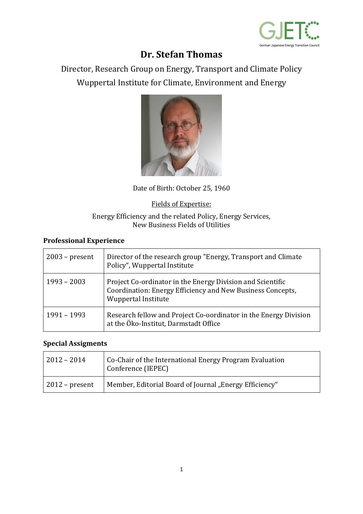

# **Dr. Stefan Thomas**

Director, Research Group on Energy, Transport and Climate Policy Wuppertal Institute for Climate, Environment and Energy



Date of Birth: October 25, 1960

Fields of Expertise:

#### Energy Efficiency and the related Policy, Energy Services, New Business Fields of Utilities

### **Professional Experience**

| $2003$ – present | Director of the research group "Energy, Transport and Climate<br>Policy", Wuppertal Institute                                                   |
|------------------|-------------------------------------------------------------------------------------------------------------------------------------------------|
| $1993 - 2003$    | Project Co-ordinator in the Energy Division and Scientific<br>Coordination: Energy Efficiency and New Business Concepts,<br>Wuppertal Institute |
| 1991 - 1993      | Research fellow and Project Co-oordinator in the Energy Division<br>at the Öko-Institut, Darmstadt Office                                       |

#### **Special Assigments**

| $ 2012 - 2014 $        | Co-Chair of the International Energy Program Evaluation<br><sup>1</sup> Conference (IEPEC) |
|------------------------|--------------------------------------------------------------------------------------------|
| $\vert$ 2012 – present | Member, Editorial Board of Journal "Energy Efficiency"                                     |